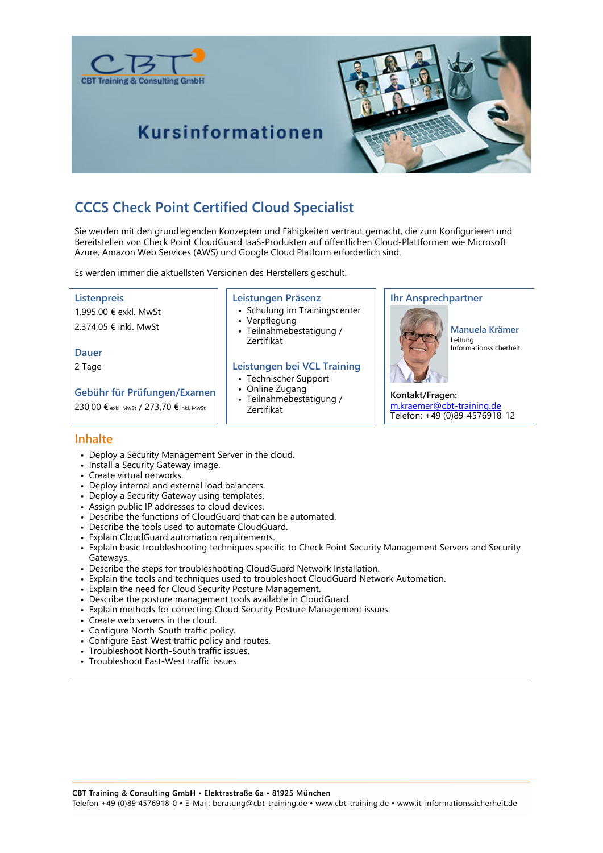



**Kursinformationen** 

## **CCCS Check Point Certified Cloud Specialist**

Sie werden mit den grundlegenden Konzepten und Fähigkeiten vertraut gemacht, die zum Konfigurieren und Bereitstellen von Check Point CloudGuard IaaS-Produkten auf öffentlichen Cloud-Plattformen wie Microsoft Azure, Amazon Web Services (AWS) und Google Cloud Platform erforderlich sind.

Es werden immer die aktuellsten Versionen des Herstellers geschult.

#### **Listenpreis**

1.995,00 € exkl. MwSt 2.374,05 € inkl. MwSt

**Dauer**

2 Tage

**Gebühr für Prüfungen/Examen** 230,00 € exkl. Mwst / 273,70 € inkl. Mwst

#### **Leistungen Präsenz**

- Schulung im Trainingscenter • Verpflegung
- Teilnahmebestätigung / Zertifikat

#### **Leistungen bei VCL Training**

- Technischer Support
- Online Zugang
- Teilnahmebestätigung / Zertifikat

#### **Ihr Ansprechpartner**



Leitung Informationssicherheit

**Kontakt/Fragen:** m.kraemer@cbt-training.de Telefon: +49 (0)89-4576918-12

#### **Inhalte**

- Deploy a Security Management Server in the cloud.
- Install a Security Gateway image.
- Create virtual networks.
- Deploy internal and external load balancers.
- Deploy a Security Gateway using templates.
- Assign public IP addresses to cloud devices.
- Describe the functions of CloudGuard that can be automated.
- Describe the tools used to automate CloudGuard.
- Explain CloudGuard automation requirements.
- Explain basic troubleshooting techniques specific to Check Point Security Management Servers and Security Gateways.
- Describe the steps for troubleshooting CloudGuard Network Installation.
- Explain the tools and techniques used to troubleshoot CloudGuard Network Automation.
- Explain the need for Cloud Security Posture Management.
- Describe the posture management tools available in CloudGuard.
- Explain methods for correcting Cloud Security Posture Management issues.
- Create web servers in the cloud.
- Configure North-South traffic policy.
- Configure East-West traffic policy and routes.
- Troubleshoot North-South traffic issues.
- Troubleshoot East-West traffic issues.